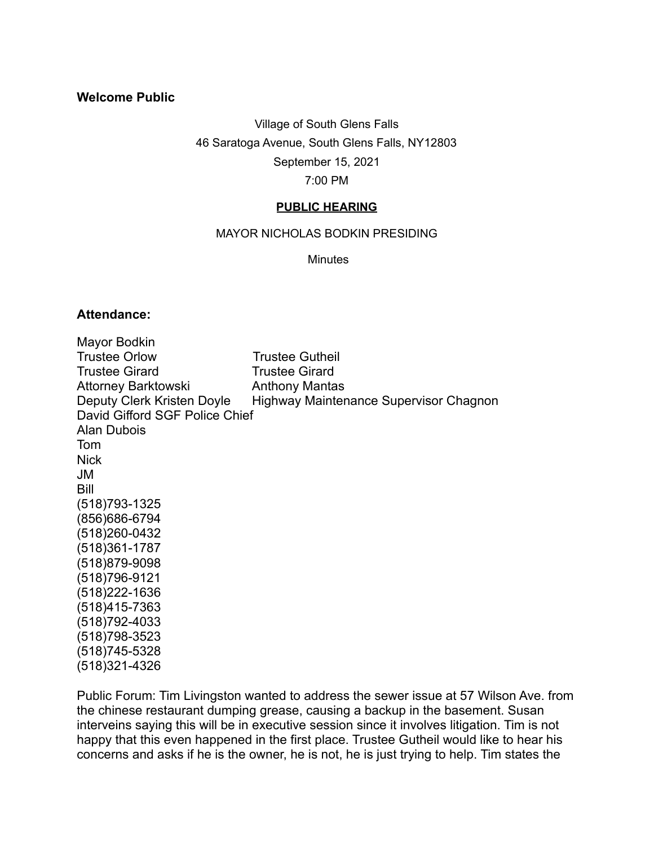## **Welcome Public**

Village of South Glens Falls

46 Saratoga Avenue, South Glens Falls, NY12803

September 15, 2021

7:00 PM

## **PUBLIC HEARING**

MAYOR NICHOLAS BODKIN PRESIDING

Minutes

## **Attendance:**

(518)321-4326

Mayor Bodkin Trustee Orlow Trustee Gutheil Trustee Girard Trustee Girard Attorney Barktowski **Anthony Mantas** Deputy Clerk Kristen Doyle Highway Maintenance Supervisor Chagnon David Gifford SGF Police Chief Alan Dubois Tom **Nick** JM Bill (518)793-1325 (856)686-6794 (518)260-0432 (518)361-1787 (518)879-9098 (518)796-9121 (518)222-1636 (518)415-7363 (518)792-4033 (518)798-3523 (518)745-5328

Public Forum: Tim Livingston wanted to address the sewer issue at 57 Wilson Ave. from the chinese restaurant dumping grease, causing a backup in the basement. Susan interveins saying this will be in executive session since it involves litigation. Tim is not happy that this even happened in the first place. Trustee Gutheil would like to hear his concerns and asks if he is the owner, he is not, he is just trying to help. Tim states the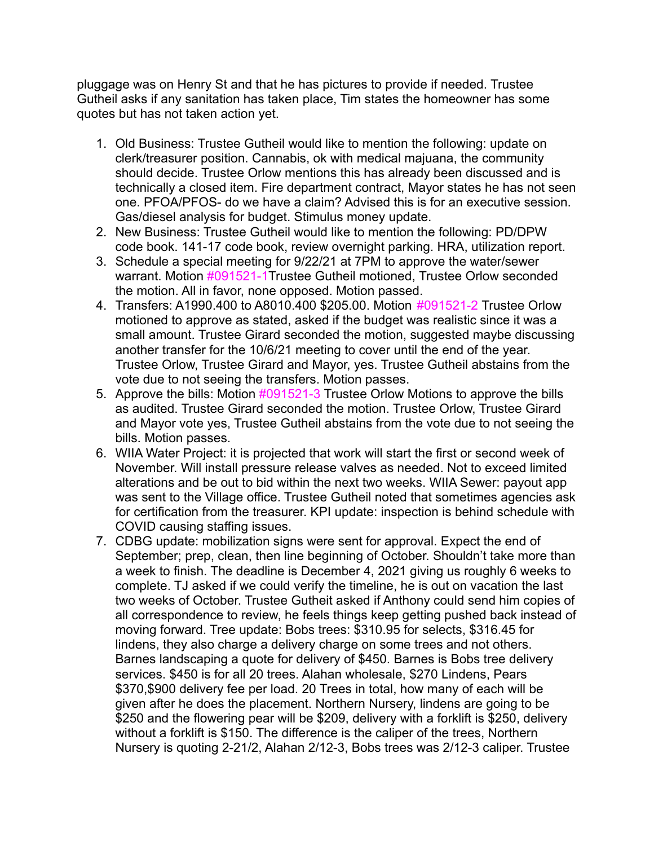pluggage was on Henry St and that he has pictures to provide if needed. Trustee Gutheil asks if any sanitation has taken place, Tim states the homeowner has some quotes but has not taken action yet.

- 1. Old Business: Trustee Gutheil would like to mention the following: update on clerk/treasurer position. Cannabis, ok with medical majuana, the community should decide. Trustee Orlow mentions this has already been discussed and is technically a closed item. Fire department contract, Mayor states he has not seen one. PFOA/PFOS- do we have a claim? Advised this is for an executive session. Gas/diesel analysis for budget. Stimulus money update.
- 2. New Business: Trustee Gutheil would like to mention the following: PD/DPW code book. 141-17 code book, review overnight parking. HRA, utilization report.
- 3. Schedule a special meeting for 9/22/21 at 7PM to approve the water/sewer warrant. Motion #091521-1Trustee Gutheil motioned, Trustee Orlow seconded the motion. All in favor, none opposed. Motion passed.
- 4. Transfers: A1990.400 to A8010.400 \$205.00. Motion #091521-2 Trustee Orlow motioned to approve as stated, asked if the budget was realistic since it was a small amount. Trustee Girard seconded the motion, suggested maybe discussing another transfer for the 10/6/21 meeting to cover until the end of the year. Trustee Orlow, Trustee Girard and Mayor, yes. Trustee Gutheil abstains from the vote due to not seeing the transfers. Motion passes.
- 5. Approve the bills: Motion #091521-3 Trustee Orlow Motions to approve the bills as audited. Trustee Girard seconded the motion. Trustee Orlow, Trustee Girard and Mayor vote yes, Trustee Gutheil abstains from the vote due to not seeing the bills. Motion passes.
- 6. WIIA Water Project: it is projected that work will start the first or second week of November. Will install pressure release valves as needed. Not to exceed limited alterations and be out to bid within the next two weeks. WIIA Sewer: payout app was sent to the Village office. Trustee Gutheil noted that sometimes agencies ask for certification from the treasurer. KPI update: inspection is behind schedule with COVID causing staffing issues.
- 7. CDBG update: mobilization signs were sent for approval. Expect the end of September; prep, clean, then line beginning of October. Shouldn't take more than a week to finish. The deadline is December 4, 2021 giving us roughly 6 weeks to complete. TJ asked if we could verify the timeline, he is out on vacation the last two weeks of October. Trustee Gutheit asked if Anthony could send him copies of all correspondence to review, he feels things keep getting pushed back instead of moving forward. Tree update: Bobs trees: \$310.95 for selects, \$316.45 for lindens, they also charge a delivery charge on some trees and not others. Barnes landscaping a quote for delivery of \$450. Barnes is Bobs tree delivery services. \$450 is for all 20 trees. Alahan wholesale, \$270 Lindens, Pears \$370, \$900 delivery fee per load. 20 Trees in total, how many of each will be given after he does the placement. Northern Nursery, lindens are going to be \$250 and the flowering pear will be \$209, delivery with a forklift is \$250, delivery without a forklift is \$150. The difference is the caliper of the trees, Northern Nursery is quoting 2-21/2, Alahan 2/12-3, Bobs trees was 2/12-3 caliper. Trustee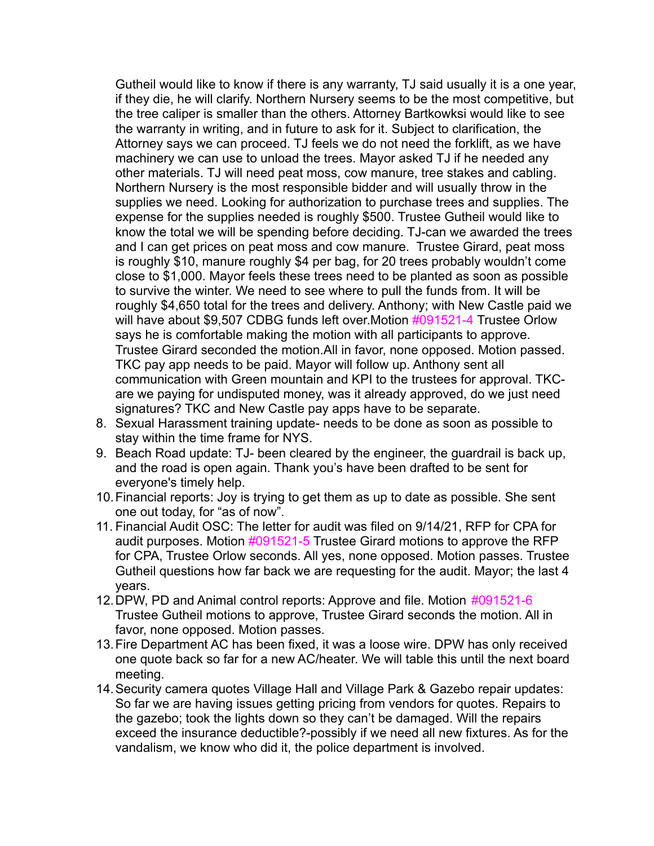Gutheil would like to know if there is any warranty, TJ said usually it is a one year, if they die, he will clarify. Northern Nursery seems to be the most competitive, but the tree caliper is smaller than the others. Attorney Bartkowksi would like to see the warranty in writing, and in future to ask for it. Subject to clarification, the Attorney says we can proceed. TJ feels we do not need the forklift, as we have machinery we can use to unload the trees. Mayor asked TJ if he needed any other materials. TJ will need peat moss, cow manure, tree stakes and cabling. Northern Nursery is the most responsible bidder and will usually throw in the supplies we need. Looking for authorization to purchase trees and supplies. The expense for the supplies needed is roughly \$500. Trustee Gutheil would like to know the total we will be spending before deciding. TJ-can we awarded the trees and I can get prices on peat moss and cow manure. Trustee Girard, peat moss is roughly \$10, manure roughly \$4 per bag, for 20 trees probably wouldn't come close to \$1,000. Mayor feels these trees need to be planted as soon as possible to survive the winter. We need to see where to pull the funds from. It will be roughly \$4,650 total for the trees and delivery. Anthony; with New Castle paid we will have about \$9,507 CDBG funds left over.Motion #091521-4 Trustee Orlow says he is comfortable making the motion with all participants to approve. Trustee Girard seconded the motion.All in favor, none opposed. Motion passed. TKC pay app needs to be paid. Mayor will follow up. Anthony sent all communication with Green mountain and KPI to the trustees for approval. TKCare we paying for undisputed money, was it already approved, do we just need signatures? TKC and New Castle pay apps have to be separate.

- 8. Sexual Harassment training update- needs to be done as soon as possible to stay within the time frame for NYS.
- 9. Beach Road update: TJ- been cleared by the engineer, the guardrail is back up, and the road is open again. Thank you's have been drafted to be sent for everyone's timely help.
- 10.Financial reports: Joy is trying to get them as up to date as possible. She sent one out today, for "as of now".
- 11. Financial Audit OSC: The letter for audit was filed on 9/14/21, RFP for CPA for audit purposes. Motion #091521-5 Trustee Girard motions to approve the RFP for CPA, Trustee Orlow seconds. All yes, none opposed. Motion passes. Trustee Gutheil questions how far back we are requesting for the audit. Mayor; the last 4 years.
- 12.DPW, PD and Animal control reports: Approve and file. Motion #091521-6 Trustee Gutheil motions to approve, Trustee Girard seconds the motion. All in favor, none opposed. Motion passes.
- 13.Fire Department AC has been fixed, it was a loose wire. DPW has only received one quote back so far for a new AC/heater. We will table this until the next board meeting.
- 14.Security camera quotes Village Hall and Village Park & Gazebo repair updates: So far we are having issues getting pricing from vendors for quotes. Repairs to the gazebo; took the lights down so they can't be damaged. Will the repairs exceed the insurance deductible?-possibly if we need all new fixtures. As for the vandalism, we know who did it, the police department is involved.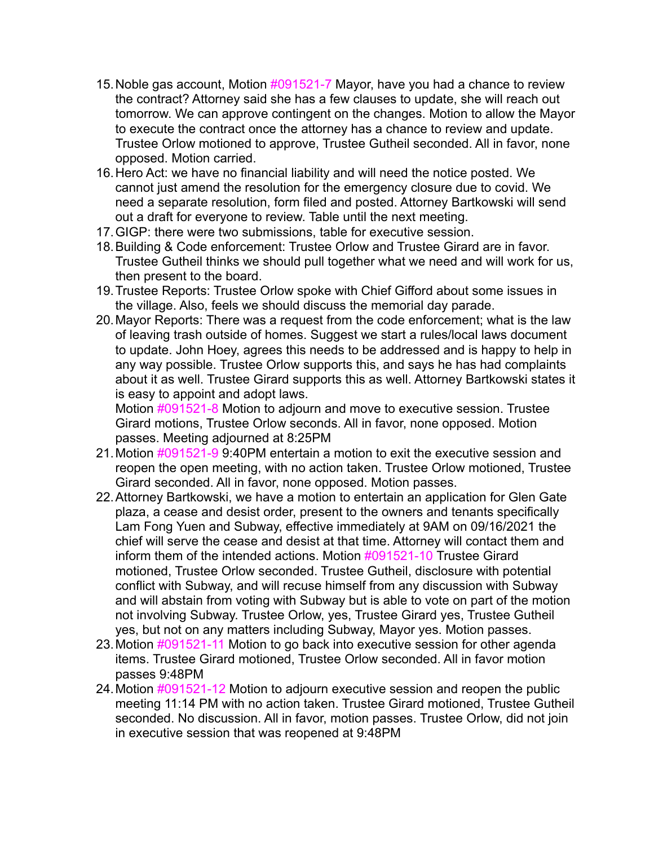- 15.Noble gas account, Motion #091521-7 Mayor, have you had a chance to review the contract? Attorney said she has a few clauses to update, she will reach out tomorrow. We can approve contingent on the changes. Motion to allow the Mayor to execute the contract once the attorney has a chance to review and update. Trustee Orlow motioned to approve, Trustee Gutheil seconded. All in favor, none opposed. Motion carried.
- 16.Hero Act: we have no financial liability and will need the notice posted. We cannot just amend the resolution for the emergency closure due to covid. We need a separate resolution, form filed and posted. Attorney Bartkowski will send out a draft for everyone to review. Table until the next meeting.
- 17.GIGP: there were two submissions, table for executive session.
- 18.Building & Code enforcement: Trustee Orlow and Trustee Girard are in favor. Trustee Gutheil thinks we should pull together what we need and will work for us, then present to the board.
- 19.Trustee Reports: Trustee Orlow spoke with Chief Gifford about some issues in the village. Also, feels we should discuss the memorial day parade.
- 20.Mayor Reports: There was a request from the code enforcement; what is the law of leaving trash outside of homes. Suggest we start a rules/local laws document to update. John Hoey, agrees this needs to be addressed and is happy to help in any way possible. Trustee Orlow supports this, and says he has had complaints about it as well. Trustee Girard supports this as well. Attorney Bartkowski states it is easy to appoint and adopt laws.

Motion #091521-8 Motion to adjourn and move to executive session. Trustee Girard motions, Trustee Orlow seconds. All in favor, none opposed. Motion passes. Meeting adjourned at 8:25PM

- 21.Motion #091521-9 9:40PM entertain a motion to exit the executive session and reopen the open meeting, with no action taken. Trustee Orlow motioned, Trustee Girard seconded. All in favor, none opposed. Motion passes.
- 22.Attorney Bartkowski, we have a motion to entertain an application for Glen Gate plaza, a cease and desist order, present to the owners and tenants specifically Lam Fong Yuen and Subway, effective immediately at 9AM on 09/16/2021 the chief will serve the cease and desist at that time. Attorney will contact them and inform them of the intended actions. Motion #091521-10 Trustee Girard motioned, Trustee Orlow seconded. Trustee Gutheil, disclosure with potential conflict with Subway, and will recuse himself from any discussion with Subway and will abstain from voting with Subway but is able to vote on part of the motion not involving Subway. Trustee Orlow, yes, Trustee Girard yes, Trustee Gutheil yes, but not on any matters including Subway, Mayor yes. Motion passes.
- 23.Motion #091521-11 Motion to go back into executive session for other agenda items. Trustee Girard motioned, Trustee Orlow seconded. All in favor motion passes 9:48PM
- 24. Motion #091521-12 Motion to adjourn executive session and reopen the public meeting 11:14 PM with no action taken. Trustee Girard motioned, Trustee Gutheil seconded. No discussion. All in favor, motion passes. Trustee Orlow, did not join in executive session that was reopened at 9:48PM